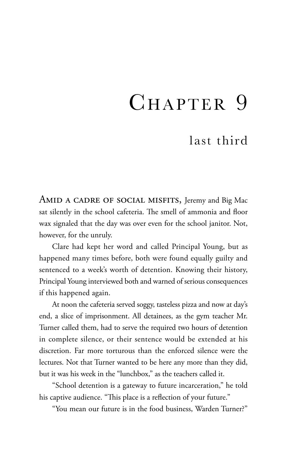## CHAPTER 9

## last third

AMID A CADRE OF SOCIAL MISFITS, Jeremy and Big Mac sat silently in the school cafeteria. The smell of ammonia and floor wax signaled that the day was over even for the school janitor. Not, however, for the unruly.

Clare had kept her word and called Principal Young, but as happened many times before, both were found equally guilty and sentenced to a week's worth of detention. Knowing their history, Principal Young interviewed both and warned of serious consequences if this happened again.

At noon the cafeteria served soggy, tasteless pizza and now at day's end, a slice of imprisonment. All detainees, as the gym teacher Mr. Turner called them, had to serve the required two hours of detention in complete silence, or their sentence would be extended at his discretion. Far more torturous than the enforced silence were the lectures. Not that Turner wanted to be here any more than they did, but it was his week in the "lunchbox," as the teachers called it.

"School detention is a gateway to future incarceration," he told his captive audience. "This place is a reflection of your future."

"You mean our future is in the food business, Warden Turner?"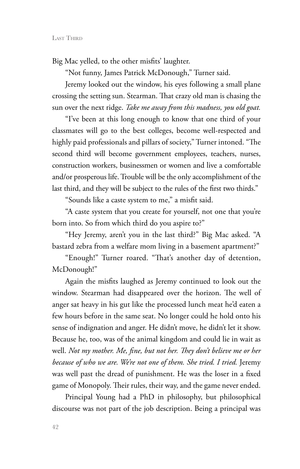Big Mac yelled, to the other misfits' laughter.

"Not funny, James Patrick McDonough," Turner said.

Jeremy looked out the window, his eyes following a small plane crossing the setting sun. Stearman. That crazy old man is chasing the sun over the next ridge. *Take me away from this madness, you old goat.* 

"I've been at this long enough to know that one third of your classmates will go to the best colleges, become well-respected and highly paid professionals and pillars of society," Turner intoned. "The second third will become government employees, teachers, nurses, construction workers, businessmen or women and live a comfortable and/or prosperous life. Trouble will be the only accomplishment of the last third, and they will be subject to the rules of the first two thirds."

"Sounds like a caste system to me," a misfit said.

"A caste system that you create for yourself, not one that you're born into. So from which third do you aspire to?"

"Hey Jeremy, aren't you in the last third?" Big Mac asked. "A bastard zebra from a welfare mom living in a basement apartment?"

"Enough!" Turner roared. "That's another day of detention, McDonough!"

Again the misfits laughed as Jeremy continued to look out the window. Stearman had disappeared over the horizon. The well of anger sat heavy in his gut like the processed lunch meat he'd eaten a few hours before in the same seat. No longer could he hold onto his sense of indignation and anger. He didn't move, he didn't let it show. Because he, too, was of the animal kingdom and could lie in wait as well. *Not my mother. Me, fine, but not her. They don't believe me or her because of who we are. We're not one of them. She tried. I tried.* Jeremy was well past the dread of punishment. He was the loser in a fixed game of Monopoly. Their rules, their way, and the game never ended.

Principal Young had a PhD in philosophy, but philosophical discourse was not part of the job description. Being a principal was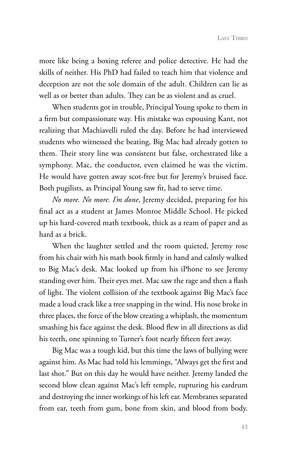more like being a boxing referee and police detective. He had the skills of neither. His PhD had failed to teach him that violence and deception are not the sole domain of the adult. Children can lie as well as or better than adults. They can be as violent and as cruel.

When students got in trouble, Principal Young spoke to them in a firm but compassionate way. His mistake was espousing Kant, not realizing that Machiavelli ruled the day. Before he had interviewed students who witnessed the beating, Big Mac had already gotten to them. Their story line was consistent but false, orchestrated like a symphony. Mac, the conductor, even claimed he was the victim. He would have gotten away scot-free but for Jeremy's bruised face. Both pugilists, as Principal Young saw fit, had to serve time.

*No more. No more. I'm done*, Jeremy decided, preparing for his final act as a student at James Monroe Middle School. He picked up his hard-covered math textbook, thick as a ream of paper and as hard as a brick.

When the laughter settled and the room quieted, Jeremy rose from his chair with his math book firmly in hand and calmly walked to Big Mac's desk. Mac looked up from his iPhone to see Jeremy standing over him. Their eyes met. Mac saw the rage and then a flash of light. The violent collision of the textbook against Big Mac's face made a loud crack like a tree snapping in the wind. His nose broke in three places, the force of the blow creating a whiplash, the momentum smashing his face against the desk. Blood flew in all directions as did his teeth, one spinning to Turner's foot nearly fifteen feet away.

Big Mac was a tough kid, but this time the laws of bullying were against him. As Mac had told his lemmings, "Always get the first and last shot." But on this day he would have neither. Jeremy landed the second blow clean against Mac's left temple, rupturing his eardrum and destroying the inner workings of his left ear. Membranes separated from ear, teeth from gum, bone from skin, and blood from body.